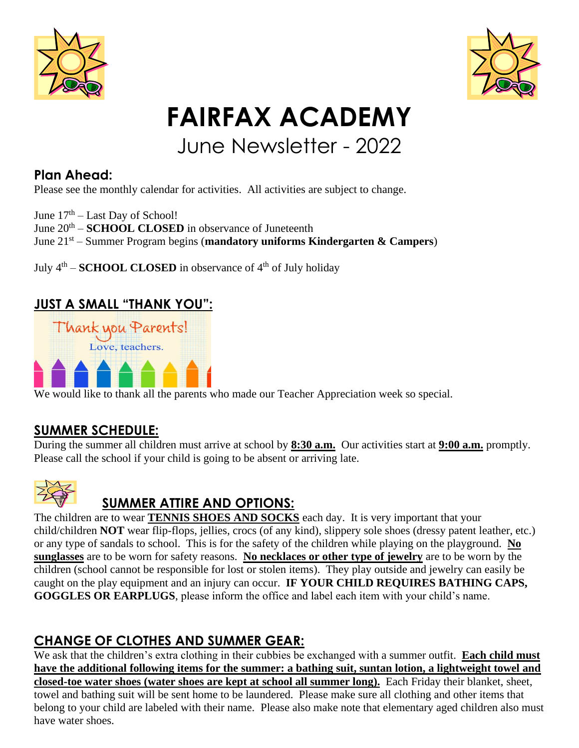



# **FAIRFAX ACADEMY**

# June Newsletter - 2022

# **Plan Ahead:**

Please see the monthly calendar for activities. All activities are subject to change.

June  $17<sup>th</sup> - Last Day of School!$ 

June  $20<sup>th</sup>$  – **SCHOOL CLOSED** in observance of Juneteenth

June 21 st – Summer Program begins (**mandatory uniforms Kindergarten & Campers**)

July  $4<sup>th</sup>$  – **SCHOOL CLOSED** in observance of  $4<sup>th</sup>$  of July holiday

#### **JUST A SMALL "THANK YOU":**



We would like to thank all the parents who made our Teacher Appreciation week so special.

#### **SUMMER SCHEDULE:**

During the summer all children must arrive at school by **8:30 a.m.** Our activities start at **9:00 a.m.** promptly. Please call the school if your child is going to be absent or arriving late.



# **SUMMER ATTIRE AND OPTIONS:**

The children are to wear **TENNIS SHOES AND SOCKS** each day. It is very important that your child/children **NOT** wear flip-flops, jellies, crocs (of any kind), slippery sole shoes (dressy patent leather, etc.) or any type of sandals to school. This is for the safety of the children while playing on the playground. **No sunglasses** are to be worn for safety reasons. **No necklaces or other type of jewelry** are to be worn by the children (school cannot be responsible for lost or stolen items). They play outside and jewelry can easily be caught on the play equipment and an injury can occur. **IF YOUR CHILD REQUIRES BATHING CAPS, GOGGLES OR EARPLUGS**, please inform the office and label each item with your child's name.

# **CHANGE OF CLOTHES AND SUMMER GEAR:**

We ask that the children's extra clothing in their cubbies be exchanged with a summer outfit. **Each child must have the additional following items for the summer: a bathing suit, suntan lotion, a lightweight towel and closed-toe water shoes (water shoes are kept at school all summer long).** Each Friday their blanket, sheet, towel and bathing suit will be sent home to be laundered. Please make sure all clothing and other items that belong to your child are labeled with their name. Please also make note that elementary aged children also must have water shoes.